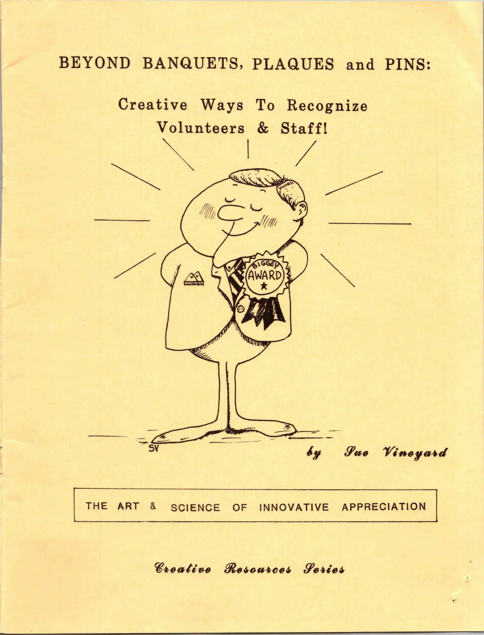# BEYOND BANQUETS, PLAQUES and PINS:



THE ART & SCIENCE OF INNOVATIVE APPRECIATION

Creative Resources Series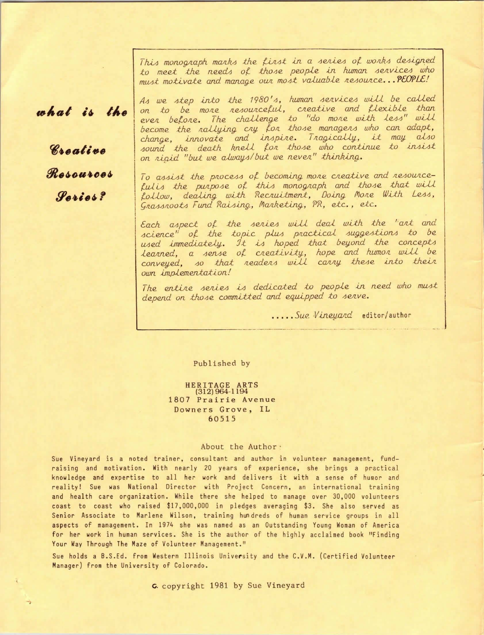This monograph marks the first in a series of works designed to meet the needs of those people in human services who must motivate and manage our most valuable resource... PEOPLE!

# what is the

Rraating Resources *<i><u>Parias?*</u>

As we step into the 1980's, human services will be called on to be more resourceful, creative and flexible than<br>ever before. The challenge to "do more with less" will<br>become the rallying cry for those managers who can adapt, change, innovate and inspire. Tragically, it may also<br>sound the death knell for those who continue to insist on rigid "but we always/but we never" thinking.

To assist the process of becoming more creative and resourcefulis the purpose of this monograph and those that will<br>follow, dealing with Recruitment, Doing More With Less, Grassroots Fund Raising, Marketing, PR, etc., etc.

Each aspect of the series will deal with the "art and science" of the topic plus practical suggestions to be used immediately. It is hoped that beyond the concepts learned, a sense of creativity, hope and humor will be conveyed, so that readers will carry these into their own implementation!

The entire series is dedicated to people in need who must depend on those committed and equipped to serve.

..... Sue Vineyard editor/author

Published by

HERITAGE ARTS<br>(312) 964-1194 1807 Prairie Avenue Downers Grove, IL 60515

### About the Author

Sue Vineyard is a noted trainer, consultant and author in volunteer management, fundraising and motivation. With nearly 20 years of experience, she brings a practical knowledge and expertise to all her work and delivers it with a sense of humor and reality! Sue was National Director with Project Concern, an international training and health care organization. While there she helped to manage over 30,000 volunteers coast to coast who raised \$17,000,000 in pledges averaging \$3. She also served as Senior Associate to Marlene Wilson, training hundreds of human service groups in all aspects of management. In 1974 she was named as an Outstanding Young Woman of America for her work in human services. She is the author of the highly acclaimed book "Finding Your Way Through The Maze of Volunteer Management."

Sue holds a B.S.Ed. from Western Illinois University and the C.V.M. (Certified Volunteer Manager) from the University of Colorado.

G. copyright 1981 by Sue Vineyard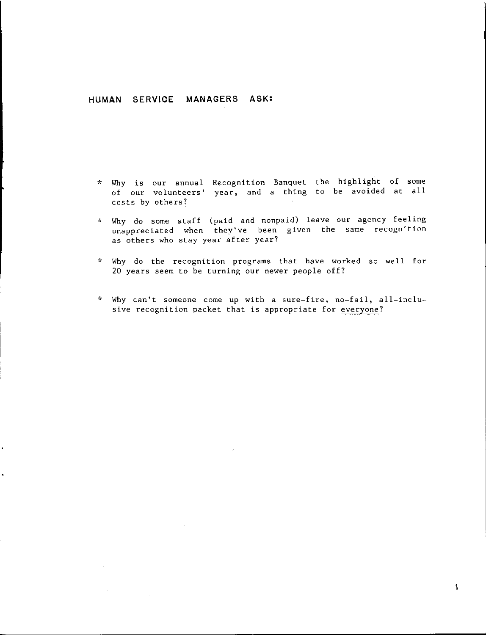# **HUMAN SERVICE MANAGERS ASK:**

- \* Why is our annual Recognition Banquet the highlight of some of our volunteers' year, and a thing to be avoided at all costs by others?
- \* Why do some staff (paid and nonpaid) leave our agency feeling unappreciated when they've been given the same recognit as others who stay year after year
- Why do the recognition programs that have worked so well for 20 years seem to be turning our newer people off?
- \* Why can't someone come up with a sure-fire, no-fail, all-inclusive recognition packet that is appropriate for everyone?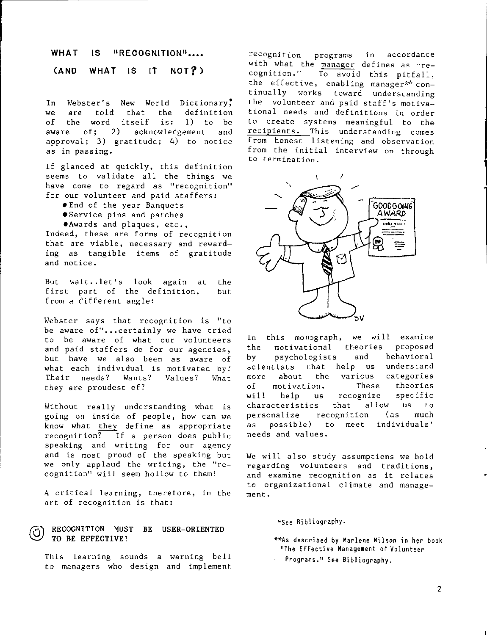#### **WHAT 18 18 PRECOGNITION**<sup>11</sup>

#### **(AND WHAT lS IT NOT?)**

**In** Webster's **New** World Dictionary: **we** are told that the definition of the word itself is: **1)** to be acknowledgement and approval; 3) gratitude; 4) to notice as in passing.

If glanced at quickly, this definition seems to validate all the things we have come to regard as "recognition" for our volunteer and paid staffers:

- •End of the year Banquets
- •Service pins and patches
- •Awards and plaques, etc.,

Indeed, these are forms of recognition that are viable, necessary and rewarding as tangible items of gratitude and notice.

But wait •. let's look again at the first part of the definition, but from a different angle:

Webster says that recognition is "to be aware of"...certainly we have tried to be aware of what our volunteers and paid staffers do for our agencies, but have we also been as aware of what each individual is motivated by? Their needs? Wants? Values? What they are proudest of?

Without really understanding what is going on inside of people, how can we know what they define as appropriate recognition? If a person does public speaking and writing for our agency and is most proud of the speaking but we only applaud the writing, the "recognition" will seem hollow to them!

A critical learning, therefore, in the art of recognition is that:

### **CO** RECOGNITION MUST BE USER-ORIENTED<br>
TO BE EFFECTIVE! TO BE EFFECTIVE!

This learning sounds a warning bell to managers who design and implement

recognition programs in accordance with what the manager defines as  $ire-$ cognition." To avoid this nitfall To avoid this pitfall, the effective, enabling manager\*\* continually works toward understanding the volunteer and paid staff's motivational needs and definitions in order to create systems meaningful to the recipients. This understanding come: from honest listening and observat from the initial interview on through to termination.



In this monograph, we will examine the motivational theories proposed by psychologists and behavioral scientists that help us understand more about the various categories of motivation. These theories will help us recognize specific characteristics that allow us to personalize recognition (as much as possible) to meet individuals' needs and values.

We will also study assumptions we hold regarding volunteers and traditions, and examine recognition as it relates to orgpnizational climate and management.

\*See Bibliography.

- \*\*As described by Marlene Wilson in her book 11The Effective Management of Volunteer
- Programs." See Bibliography.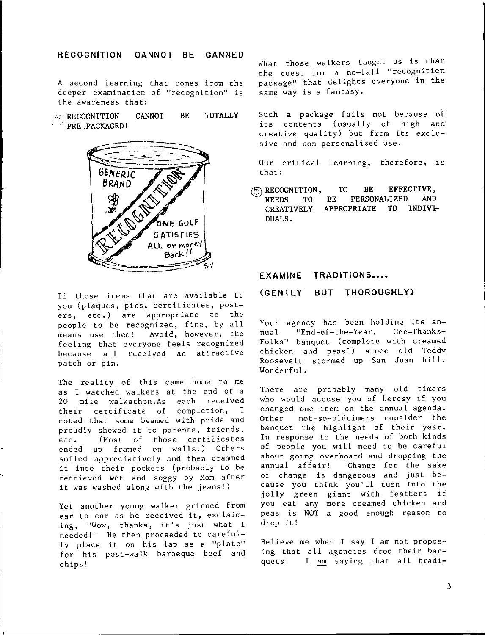# **RECOGNITION CANNOT** BE **CANNED**

A second learning that comes from the deeper examination of "recognition" is the awareness that:

**RECOGNITION**  $^{\circ}$  PRE-PACKAGED! CANNOT BE **TOTALLY** 



If those items that are available tc you (plaques, pins, certificates, posters, etc,) are appropriate to the people to be recognized, fine, by all means use them! Avoid, however, the feeling that everyone feels recognized because all received an attractive patch or pin,

The reality of this came home to me as I watched walkers at the end of a 20 mile walkathon.As each received their certificate of completion, I noted that some beamed with pride and proudly showed it to parents, friends, etc. (Most of those certificates ended up framed on walls.) Others smiled appreciatively and then crammed it into their pockets (probably to be retrieved wet and soggy by Mom after it was washed along with the jeans!)

Yet another young walker grinned from ear to ear as he received it, exclaiming, "Wow, thanks, it's just what I needed!" He then proceeded to carefully place it on his lap as a "plate" for his post-walk barbeque beef and chips!

What those walkers taught us is that the quest for a no-fail "recognition package" that delights everyone in the same way is a fantasy.

Such a package fails not because of its contents (usually of high and creative quality) but from its excl sive and non-personalized use.

Our critical learning, therefore; is that:

**EXECOGNITION,**<br>**NEEDS** TO BE  $NEEDS$ **CREATIVELY**  DUALS. **TO BE EFFECTIVE,**  BE **PERSONALIZED AND**  APPROPRIATE TO INDIVI

# EXAMINE TRADITIONS....

# **(GENTLY BUT THOROUGHLY)**

Your agency has been holding its annual "End-of-the-Year, Gee-Thanks-Folks" banquet (complete with creamed chicken and peas!) since old Teddv Roosevelt stormed up San Juan hill. Wonderful.

There are probably many old timers who would accuse you of heresy if you changed one item on the annual agenda. Other not-so-oldtimers consider the banquet the highlight of their year. In response to the needs of both kinds of people you will need to be careful about going overboard and dropping the annual affair! Change for the sake of change is dangerous and just because you think you'll turn into the jolly green giant with feathers if you eat any more creamed chicken and peas is NOT a good enough reason to drop it!

Believe me when I say I am not propo ing that all agencies drop their banquets! I am saying that all trad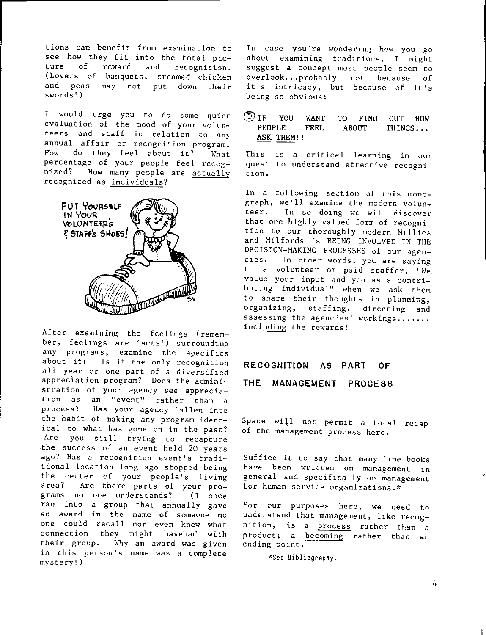tions can benefit from examination to see how they fit into the total picture of reward and recognition. (Lovers of banquets, creamed chicken and peas may not put down their swords!)

I would urge you to do some quiet evaluation of the mood of your volunteers and staff in relation to any annual affair or recognition program. How do they feel about it? What percentage of your people feel recognized? How many people are actually recognized as individuals?



After examining the feelings (remember, feelings are facts!) surrounding any programs, examine the specifics<br>about it: Is it the only recognition Is it the only recognition all year or one part of a diversified appreclation program? Does the administration of your agency see appreciation as an "event" rather than a .process? Has your agency fallen into 'the habit of making any program identical to what has gone on in the past? Are you still trying to recapture the success of an event held 20 years ago? Has a recognition event's traditional location long ago stopped being the center of your people's living area? Are there parts of your programs no one understands? (I once ran into a group that annually gave an award in the name of someone no one could recatl nor even knew what connection they might havehad with their group. Why an award was given in this person's name was a complete mystery!)

In case you're wondering how you go about examining traditions, I might suggest a concept most people seem to overlook,,, probably not because of it's intricacy, but because of it's being so obvious:

# @IF YOU **WANT** TO FIND OUT HOW PEOPLE FEEL ABOUT THINGS... ASK THEM!!

This is a critical learning in our quest to understand effective recognition.

In a following section of this monograph, we'll examine the modern volunteer. In so doing we will discover that one highly valued form of recognition to our thoroughly modern Millies and Milfords is BEING INVOLVED IN THE DECISION-MAKING PROCESSES of our agencies. In other words, you are saying to a volunteer or paid staffer, "We value your input and you as a contributing individual" when we ask them to share their thoughts in planning, organizing, staffing, directing and assessing the agencies' workings....... including the rewards!

### **RECOGNITION AS PART OF**

# **THE MANAGEMENT PROCESS**

Space will not permit a total recap of the management process here.

Suffice it to say that many fine books have been written on management in general and specifically on management for human service organizations.\*

For our purposes here, we need to understand that management, like recognition, is a process rather than a product; a becoming rather than an ending point.

\*See Bibliography.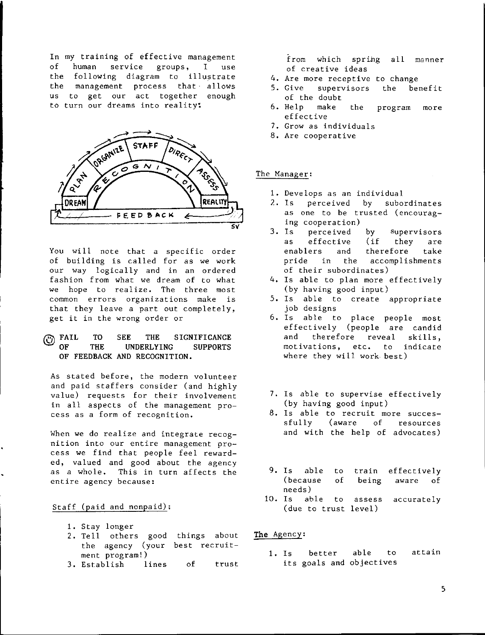In my training of effective management **of human service groups, I use**  the following diagram to illustrate **the management process that allows us to get our act together enough** 



**You will note that a specific order**  of building is called for as we work **our way logically and in an ordered fashion from what we dream of to what we hope to realize. The three most common errors organizations make is**  that they leave a part out completely, **get it in the wrong order or** 

# **EXAIL TO SEE THE SIGNIFICANCE**<br> **OF THE UNDERLYING SUPPORTS OF THE UNDERLYING SUPPORTS OF FEEDBACK AND RECOGNITION.**

**As stated before, the modern volunteer**  and paid staffers consider (and highly **value) requests for their involvement**  in all aspects of the management pro**cess as a form of recognition.** 

**When we do realize and integrate recognition into our entire management pro**cess we find that people feel rewarded, valued and good about the agency **as a whole. This in turn affects the entire agency because:** 

# Staff (paid and nonpaid);

- 1. Stay longer
- 2. Tell **others** good things about the agency (your best **recruitment** program!)
- 3. Establish **lines** of **trust.**

from which sprihg all manner **of creative ideas** 

- **4. Are more receptive to change**
- **5. Give supervisors**  of the doubt the benefit
- 6. Help make the effective **program more**
- **7. Grow as individuals**
- **8. Are cooperative**

### **The Manager:**

- **1. Develops as an individual**
- 2. Is perceived by subordinates **as one to be trusted (encourag**ing cooperation)<br>3. Is perceived
- **2. perceived** by supervisors<br>effective (if they are as effective (if they are **enablers and therefore take pride in the accomplishments of their subordinates)**
- 4. ls able to plan more effectively (by having good input)
- 5. ls able to create appropriate job designs
- 6. ls able to place people most effectively (people are candid and therefore reveal skills, **motivations, etc. to indicate**  where they will work best)
- 7. ls able to supervise effectively (by having good input)
- **8. Is able to recruit more succes**sfully (aware of resources and with the help of advocates)
- 9. Is able to **train** effectively (because of being **aware** of needs)
- 10. ls able to **assess accurately**  (due to **trust** leve 1)

**The** Agency;

**1.** ls better able to **attain**  its goals and objectives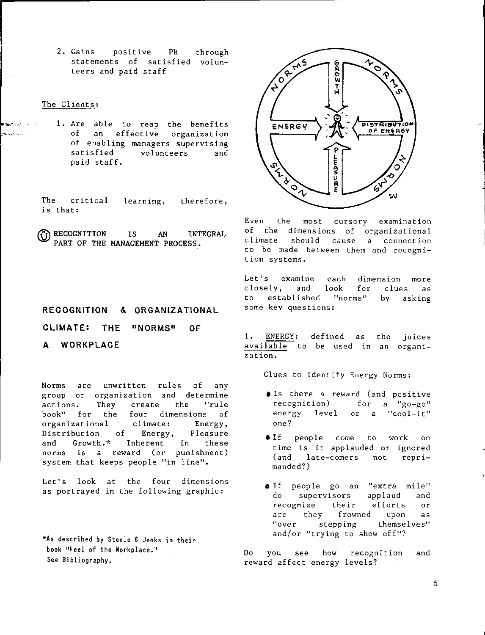2. Gains positive Pk statements of satisfied volunteers and paid staff through

### The Clients:

.<br>Thursday of Lance

1. Are able to reap the benefits of an effective organization of enabling managers supervising<br>satisfied volunteers and volunteers and paid staff.

The critical is that: learning, therefore,

**(i) RECOGNITION** IS AN INTEGRAL PART OF THE MANAGEMENT PROCESS.

# **RECOGNITION** &. **ORGANIZATIONAL**

**CLIMATE: THE "NORMS" OF** 

A WORKPLACE

Norms are unwritten rules of any group or organization and determine actions. They create the "rule book" for the four dimensions of organizational climate: Energy,<br>Distribution of Energy, Pleasure Distribution of Energy, Pleasure and Growth.\* Inherent in these norms is a reward (or punishment) system that keeps people "in line".

Let's look at the four dimensions as portrayed in the following graphic:

**\*As** described oy Steele & Jenks in their book "Feel of the Workplace." See Bibliography.



Even the most cursory examination of the dimensions of organizational climate should cause a connection to be made between them and recognition ·systems.

Let's examine closely, and to established "norms" by askir each dimension more look for clues as some key questions:

1. ENERGY: defined as the juic <mark>available</mark> to be used in an orgar zation.

Clues to identify Energy Norms:

- **O**Is there a reward (and positive  $recognition)$  for a "go-go" energy level or a "cool-it" one?
- **If** people come to work on time is it applauded or ignored (and late-comers not reprimanded?)
- o If people go an "extra mile" do supervisors applaud and recognize their efforts or are they frowned upon as<br>"over stepping themselves" stepping themselves" and/or "trying to show off"?

Do you see how recognition and reward affect energy levels?

**.**<br>م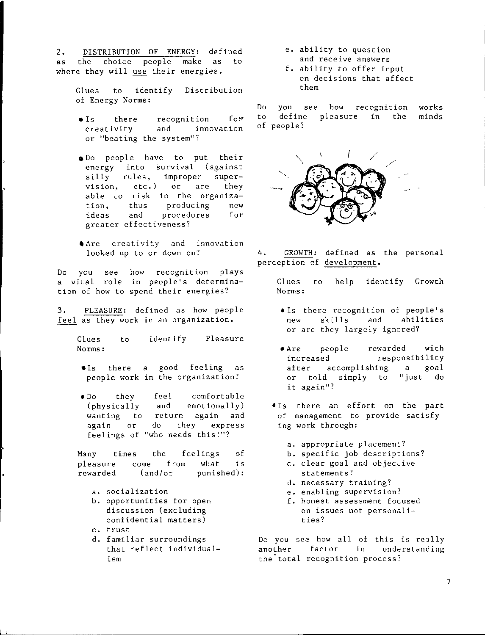2. DISTRIBUTION OF ENERGY: defined as the choice people make as to where they will use their energies.

> Clues to identify of Energy Norms: Distribution

- $\bullet$  Is there recognition for creativity and innovation or "beating the system"?
- e Do people have to put their energy into survival (against silly rules, improper super-<br>vision, etc.) or are they vision, etc.) or are they able to risk in the organization, thus producing new<br>ideas and procedures for ideas and procedures for greater effectiveness?
- **Are** creativity and innovation looked up to or down on?

Do you see how recognition plays a vital role in people's determi tion of how to spend their energie

3. PLEASURE: defined as how people feel as they work in an organization.

> Clues Norms: to identify Pleasure

- •Is there a good feeling as people work in the organization?
- Do they feel comfortable (physically and emotionally) wanting to return again and again or do they express feelings of "who needs this!"?

Many times the feelings of pleasure come from what is rewarded (and/or punished):

- a. socialization
- b. opportunities for open discussion (excluding confidential matters)
- c. trust
- d. familiar surroundings that reflect individualism
- e. ability to question and receive answers
- f. ability to offer input on decisions that affect them

Do you see how recognition works to define pleasure in the minds of people?



4. GROWTH: defined as the personal perception of development.

Clues to help identify Growth Norms:

- •Is there recognition of people's new skills and abilities or are they largely ignored?
- Are people rewarded with increased responsibility after accomplishing a goal or told simply to "just do it again"?
- $\bullet$  Is there an effort on the par of management to provide satis ing work through:
	- a. appropriate placement?
	- b. specific job descriptions?
	- c. clear goal and objective statements?
	- d. necessary training?
	- e. enabling supervision?
	- f. honest assessment focused on issues not personalities?

Do you see how all of this is really another factor in understanding the total recognition process?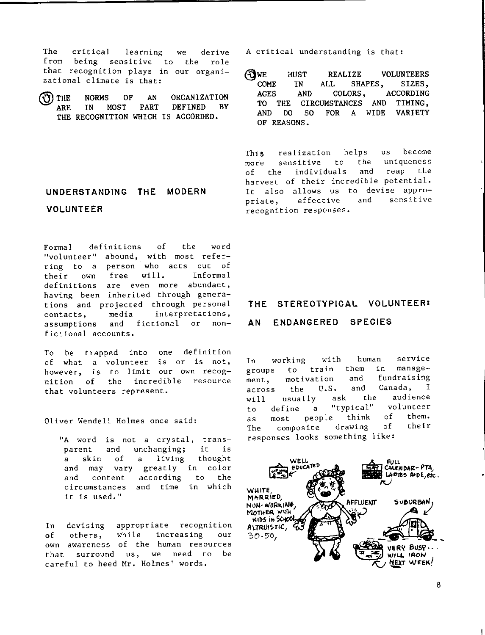The critical learning from being sensitive to that recognition plays in our orgar zational climate is that: we derive the role

**@THE ARE THE RECOGNITION WHICH** IS **ACCORDED. NORMS OF AN ORGANIZATION IN MOST PART DEFINED BY** 

# **UNDERSTANDING THE MODERN VOLUNTEER**

Formal definitions "volunteer" ring to a person who acts out of their own free of with most refe **will.**  the word lnforma 1 definitions are even more abundant, having been inherited through generations and projected through personal contacts, media interpretations, assumptions and fictional or nonfictional accounts.

To be trapped into one definition of what a volunteer is or is not, however, is to limit our own recognition of the incredible resource that volunteers represent.

Oliver Wendell Holmes once said:

"A word is not a crystal, tran parent unchanging; and of it is a skin of a living though and may vary greatly in colo according circumstances and time in which and content it is used." to the

In devising appropriate recognition of others, while increasing our own awareness of the human resources that surround us, we need to be careful to heed Mr. Holmes' words.

A critical understanding is that:

**WE MUST REALIZE VOLUNTEERS**<br>COME IN ALL SHAPES, SIZES, SHAPES, **AGES AND COLORS, ACCORDING TO THE CIRCUMSTANCES AND TIMING, AND DO so FOR A WIDE VARIETY OF REASONS.** 

This realization helps us become more sensitive to the uniqueness of the individuals and reap the harvest of their incredible potential. It also allows us to devise appropriate, effective and sensitive recognition responses.

# **THE STEREOTYPICAL VOLUNTEER:**

# **AN ENDANGERED SPECIES**

In working with human service groups to train them in management, motivation and fundraising across the U.S. and Canada, I will usually ask the audience to define a "typical" volunteer as most people think of them. The composite drawing of their responses looks something like:

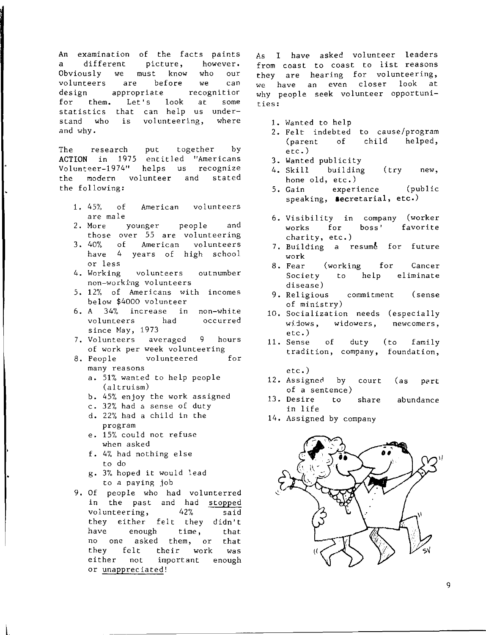**An examination of the facts paints a different picture, however. Obviously we must know who our volunteers are before we can design appropriate recognitior for them. Let's look at some statistics that can help us understand who is volunteering, where**  and why.

The research put together by **ACTION** in 1975 entitled "Americans **Volunt~er-1974" helps us recognize**  the modern volunteer and stated the following:

- 1. 45% of **American volunteers**  are **male**
- 2. **More younger** people and those **over** 55 are **volunteering**
- 3. 40% of **American volunteers have** 4 **years** of high school **or less**
- **4. Working volunteers outnumber**   $non-word$  volunteers
- **5. 12% of Americans with incomes**  below \$4000 volunteer
- **6. A 34% increase in non-white volunteers had occurred**  since May, 1973
- **7. Volunteers averaged 9 hours of work per week volunteering**
- 8. People volunteered for **many reasons** 
	- a. 51% wanted to help people (altruism)
	- b. 45% enjoy the work assigned
	- c. 32% had a sense of duty
	- d. 22% had a child in the **program**
	- e. 15% could not refuse when asked
	- f. 4% had nothing else to do

l.

- g. **3%** hoped it would **lead**  to a paying job
- 9. Of people who had volunte<mark>r</mark>r in the past and had stopped **volunteering,** 42% **said**  they **either** felt they didn't **have** enough **time,** that no one asked **them,** or that they felt their **work** was **either** not **important** enough or unappreciated!

As I have asked volunteer leaders **from coast to coast to list reasons they are hearing for volunteering, we have an even closer look at why people seek volunteer opportunities:** 

- 1. Wanted to help
- 2. Felt indebted **to cause/program**   $\phi$  (parent of child etc.)
- 3. Wanted publicity<br>4. Skill building
- 4.  $Skill$ hone old, etc.) (try **new,**
- 5. Gain speaking, **secretarial,** etc.) experience (public
- 6. Visibility in **company** (worker **works** for **boss' favorite charity,** etc.)
- 7. Building a resume for future **work**
- 8. **Fear** (working for **Cancer**  Society to help **eliminate**  disease)
- 9. Religious **commitment** (sense of ministry)
- 10. **Socialization needs** (especially widows, widowers, newcomers, etc.)
- 11. **Sense** of duty (to family **tradition, company, foundation,** 
	- etc.)
- 12. Assigned by court (as part of a **sentence)**
- 13. **Desire** to **share abundance**  in life
- 14. Assigned by **company**

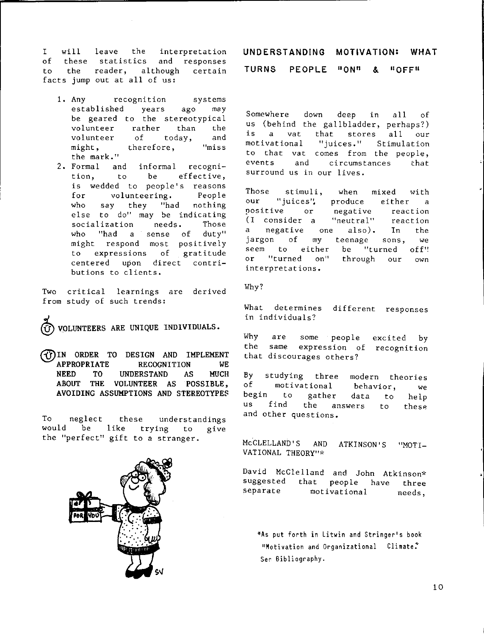I will leave the interpretation of these statistics and responses to the reader, although certain facts jump out at all of us:

- 1. Any recognition systems established years ago may be geared to the stereotypical volunteer rather than the volunteer of today, and might, therefore, "miss the mark. "
- 2. Formal and informal recogr tion, to be effective, is wedded to people's reasons for volunteering. People who say they "had nothing else to do" may be indicating socialization needs. Those who "had a sense of duty" might respond most positively to expressions of gratitude centered upon direct contributions to clients.

Two critical learnings are derived from study of such trends:

**@voLUNTEERS ARE UNIQUE INDIVIDUALS.** 

**@IN ORDER TO DESIGN AND IMPLEMENT APPROPRIATE RECOGNITION WE NEED TO UNDERSTAND AS MUCH ABOUT THE VOLUNTEER AS POSSIBLE, AVOIDING ASSUMPTIONS AND STEREOTYPES** 

To neglect these understandings would be like trying to give the "perfect" gift to a stranger.



Somewhere down deep in all of us (behind the gallbladder, perhaps?) is a vat that stores all our motivational "juices." Stimulation to that vat comes from the people, events and circumstances that surround us in our lives.

Those stimuli, when mixed with our "juices", produce either a positive or negative reaction (I consider a "neutral" reaction a negative one also). In the jargon of my teenage sons, we<br>seem to either be "turned off" be "turned off"! or "turned on" through our own interpretations.

Why?

What determines different responses in individuals?

Why are some people excited by the same expression of recognit that discourages others?

By studying three modern theories<br>of motivational behavior we motivational behavior, we to gather data to help us find the answers to these and other questions.

McCLELLAND'S AND ATKINSON'S VATIONAL THEORY"'' "MOTI-

David McClelland and John Atkinson'' suggested that people have three<br>separate motivational needs. motivational needs.

\*As put forth in Litwin and Stringer's book "Motivation and Organizational Climate. Ser Bibliography.

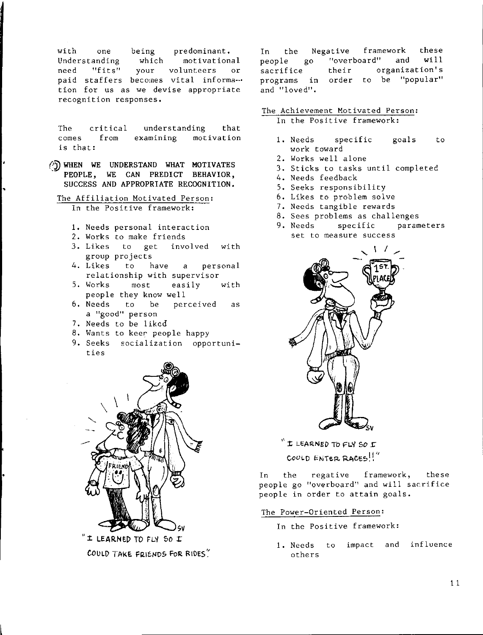with one being predominant. Understanding motivational which "fits" your volunteers need  $\alpha r$ paid staffers becomes vital informa-tion for us as we devise appropriate recognition responses.

The critical understanding that comes.  $from$ examining motivation is that:

- (b) WHEN WE UNDERSTAND WHAT MOTIVATES PEOPLE, WE CAN PREDICT BEHAVIOR, SUCCESS AND APPROPRIATE RECOGNITION.
	- The Affiliation Motivated Person: In the Positive framework:
		- 1. Needs personal interaction
		- 2. Works to make friends
		- 3. Likes to get involved with group projects
		- 4. Likes a personal to have relationship with supervisor
		- 5. Works  $most$ easily with people they know well
		- 6. Needs to be perceived as a "good" person
		- 7. Needs to be liked
		- 8. Wants to keer people happy
		- 9. Seeks socialization opportunities



COULD TAKE FRIENDS FOR RIDES!

the Negative framework these In "overboard" and  $with 11$ people  $80<sup>°</sup>$ organization's their sacrifice programs in order to be "popular" and "loved".

# The Achievement Motivated Person:

In the Positive framework:

- 1. Needs specific goals to work toward
- 2. Works well alone
- 3. Sticks to tasks until completed
- 4. Needs feedback
- 5. Seeks responsibility
- 6. Likes to problem solve
- 7. Needs tangible rewards
- 8. Sees problems as challenges
- 9. Needs specific parameters set to measure success



I LEARNED TO FLY SO I COULD ENTER RACES!

regative framework, In the these people go "overboard" and will sacrifice people in order to attain goals.

The Power-Oriented Person:

- In the Positive framework:
- impact and influence 1. Needs to others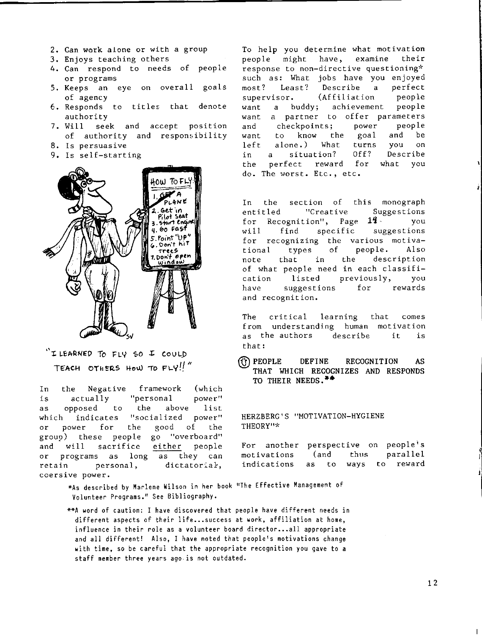- 2. Can work alone or with a group
- 3. Enjoys teaching others
- 4. Can respond to needs of people or programs
- 5. Keeps an eye on overall goals of agency
- $6$ . Responds to titles that denot authority
- 7. Will seek and accept positi of authority and responsibilit
- 8. Is persuasive
- 9. Is self-starting



 $\mathbf{v}_1$ **1: LcARNED To FLY '\$0 .X: COULJ)**  TEACH OTHERS HOW TO  $FLY!!''$ 

In the Negative framework (which is actually "personal power" as opposed to the above list which indicates "socialized power" or power for the good of the group) these people go "overboard" and will sacrifice either people or programs as long as they can retain personal, dictatorial, coersive power.

To help you determine what motivation people might have, examine their response to non-directive questioning\* such as: What jobs have you enjoyed most? Least? Describe a perfect supervisor. (Affiliation people<br>want a buddy; achievement people want a buddy; achievement want a partner to offer parameters<br>and checkpoints; power people and checkpoints; power people want to know the goal and be left alone.) What turns you on in a situation? Off? Describe the perfect reward for what you do. The worst. Etc., etc.

In the section of this monograph entitled ''Creative Suggestions for Recognition", Page  $14-$  you will find specific suggestions for recognizing the various motivational types of people. Also note that in the description of what people need in each classification listed previously, you have suggestions for rewards and recognition.

The critical learning from understanding human motivat as the authors describe that: that comes it is

@ **PEOPLE DEFINE RECOGNITION AS THAT WHICH RECOGNIZES AND RESPONDS TO THEIR NEEDs.••** 

HERZBERG'S "MOTIVATION-HYGIENE THEORY"\*

For another perspective on people motivations (and thus indications as to ways to parallel reward

\*As described by Marlene Wilson in her book •1The Effective Management of Volunteer Programs. 11 See Bibliography.

\*\*A word of caution: I have discovered that people have different needs in different aspects of their life...success at work, affiliation at home, influence in their role as a volunteer board director...all appropriate and all different! Also, I have noted that people's motivations change with time, so be careful that the appropriate recognition you gave to a staff member three years ago is not outdated.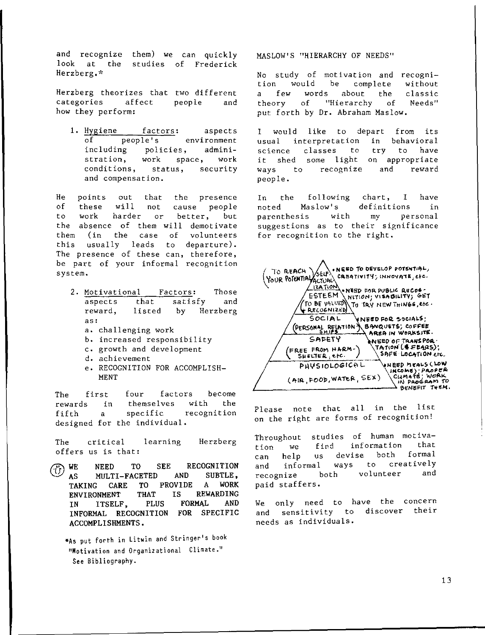and recognize them) we can quickl look at the studies of Frederick Herzberg,''

Herzberg theorizes that two different<br>categories affect people and categories affect people and how they perform:

1. **Hygiene factors:** aspects of **people's environment of people's environment including policies, administration, work space, work conditions, status, security and compensation.** 

**He points out that the presence**  of these **will** not cause people **to work harder or better, but**  the absence of them will demotivate them ( in the case of volunteers this usually leads to departure). **The presence of these can, therefore, be part of your informal recognition system.** 

- 2. Motivational Factors: Those aspects that satisfy and **reward, listed** by Herzberg **as:** 
	- a. challenging work
	- b. increased responsibility
	- c. growth and development
	- **d. achievement**
	- e, RECOGNITION FOR ACCOMPLISH-MENT

The first four factors become **rewards in themselves with the fifth a specific recognition**  designed for the individual,

The **critical learning** Herzberg offers us is that:

**F. WE NEED TO SEE RECOGNITION**<br>AS MILTI-FACETED AND SUBTLE. AS MULTI-FACETED TAKING CARE TO PROVIDE A WORK ENVIRONMENT THAT IN ITSELF, PLUS INFORMAL RECOGNITION **FOR** SPECIFIC ACCOMPLISHMENTS. IS REWARDING FORMAL AND

**\*As put forth in Litwin and Stringer's book**   $1$ **Motivation and Organizational Climate."** See Bibliography.

MASLOW'S "HIERARCHY OF NEEDS"

No study of **motivation** and **recogni**complete<br>about the a few **words** about the **classic**  theory of "Hierarchy of put forth by Dr, Abraham Maslow,

I would like to depart **usual interpretation** in **classes to**  it shed some light on appropria **from its**  behavioral **science ways**  people. to **recognize**  try to **have and reward** 

In the following chart, I have noted Maslow's definitions in **parenthesis with my personal suggestions as to their significance**  for recognition to the right,

| NEED TO DEVELOP POTENTIAL,                                                                          |
|-----------------------------------------------------------------------------------------------------|
| TO REACH SELE!<br>CREATIVITY; INNOVATE, etc.                                                        |
| <b>IZATION</b><br>. NEED FOR PUBLIC RECOG -<br>ESTEEM<br>(NITION) VISABILITY) GET                   |
| TO BE VALUED<br>.TO TRY NEW THINGS, etc.<br><b>RECOGNIZED</b>                                       |
| SOCIAL<br>NEED FOR SOCIALS!                                                                         |
| (PERSONAL RELATION & BANQUETS; COFFEE<br>AREA IN WORKSITE.<br>SAFETY                                |
| INEED OF TRANSPOR .<br>\TATION`[\$FE4RS);<br>FREE FROM HARM-<br>SAFE LOCATION ETC.<br>SHELTER, erc. |
| ANBED WEARS (FOM<br>PHYSIOLOGICAL<br>INCOME) PROPER                                                 |
| CUMATE; WORK<br>(AIR, FOOD, WATER, SEX)<br>IN PROGRAM TO<br>こいとこげ チッドM                              |

Please note that all in the lis on the right are forms of recogniti

**Throughout studies of human motivation we find information that**  can help us devise both **and informal ways to creatively recognize both volunteer and**  paid staffers.

We only need to have the concer and sensitivity to discover thei **needs as individuals.**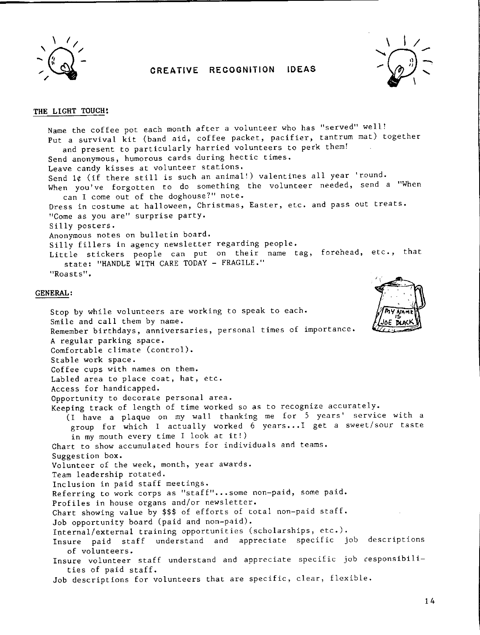

# **CREATIVE RECOGNITION IDEAS**



# **THE LIGHT TOUCH:**

Name the coffee pot each month after a volunteer who has "served" well! Put a survival kit (band aid, coffee packet, pacifier, tantrum mat) together and present to particularly harried volunteers to perk them! Send anonymous, humorous cards during hectic times. Leave candy kisses at volunteer stations. Send 1¢ (if there still is such an animal!) valentines all year 'round. When you've forgotten to do something the volunteer needed, send a "When can I come out of the doghouse?" note. Dress in costume at halloween, Christmas, Easter, etc. and pass out treats. <sup>11</sup>Come as you are" surprise party. Silly posters. Anonymous notes on bulletin board. Silly fillers in agency newsletter regarding people. Little stickers people can put on their name tag, forehead, etc., that state: "HANDLE WITH CARE TODAY - FRAGILE." "Roasts".

### **GENERAL:**

Stop by while volunteers are working to speak to each. Smile and call them by name. Remember birthdays, anniversaries, personal times of importance. A regular parking space. Comfortable climate (control). Stable work space. Coffee cups with names on them. Labled area to place coat, hat, etc. Access for handicapped. Opportunity to decorate personal area. Keeping track of length of time worked so as to recognize accurately. (I have a plaque on my wall thanking me for 5 years' service with a group for which I actually worked 6 years...I get a sweet/sour taste in my mouth every time I look at it!) Chart to show accumulated hours for individuals and teams. Suggestion box. Volunteer of the week, month, year awards. Team leadership rotated. Inclusion in paid staff meetings. Referring to work corps as "staff"...some non-paid, some paid. Profiles in house organs and/or newsletter. Chart showing value by \$\$\$ of efforts of total non-paid staff. Job opportunity board (paid and non-paid). Internal/external training opportunities (scholarships, etc.). Insure paid staff understand and appreciate specific job descriptions of volunteers. Insure volunteer staff understand and appreciate specific job cesponsibilities of paid staff. Job descriptions for volunteers that are specific, clear, flexible.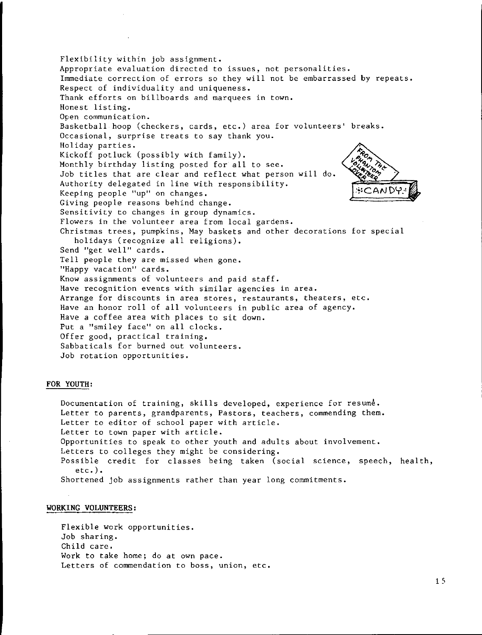Flexibility within job assignment. Appropriate evaluation directed to issues, not personalities. Immediate correction of errors so they will not be embarrassed by repeats. Respect of individuality and uniqueness. Thank efforts on billboards and marquees in town. Honest listing. Open communication. Basketball hoop (checkers, cards, etc.) area for volunteers' breaks. Occasional, surprise treats to say thank you. Holiday parties. Kickoff potluck (possibly with family). Monthly birthday listing posted for all to see. Job titles that are clear and reflect what person will do. Authority delegated in line with responsibility. Keeping people "up" on changes. Giving people reasons behind change. Sensitivity to changes in group dynamics. Flowers in the volunteer area from local gardens. Christmas trees, pumpkins, May baskets and other decorations for special holidays (recognize all religions). Send "get well" cards. Tell people they are missed when gone. "Happy vacation" cards. Know assignments of volunteers and paid staff. Have recognition events with similar agencies in area. Arrange for discounts in area stores, restaurants, theaters, etc. Have an honor roll of all volunteers in public area of agency. Have a coffee area with places to sit down. Put a "smiley face" on all clocks. Offer good, practical training. Sabbaticals for burned out volunteers. Job rotation opportunities.

### **FOR YOUTH:**

Documentation of training, skills developed, experience for  $resum\dot{e}$ . Letter to parents, grandparents, Pastors, teachers, commending them. Letter to editor of school paper with article. Letter to town paper with article. Opportunities to speak to other youth and adults about involvement. Letters to colleges they might be considering. Possible credit for classes being taken (social science, speech, health, etc.). Shortened job assignments rather than year long commitments.

### **WORKING VOLUNTEERS:**

Flexible work opportunities. Job sharing. Child care. Work to take home; do at own pace. Letters of commendation to boss, union, etc.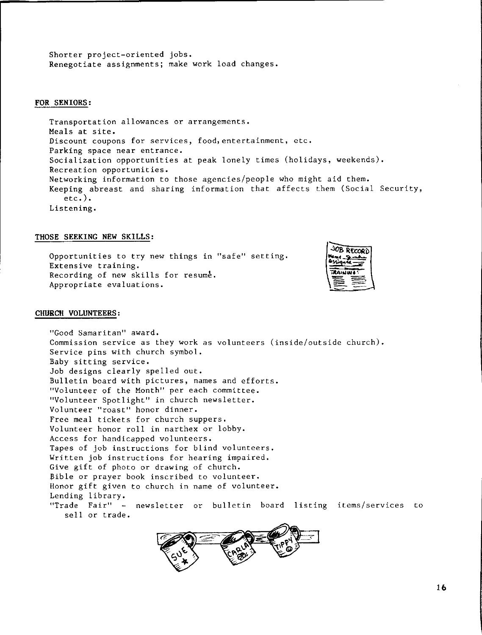Shorter project-oriented jobs. Renegotiate assignments; make work load changes.

### **FOR SENIORS:**

Transportation allowances or arrangements. Meals at site. Discount coupons for services, food,entertainment, etc. Parking space near entrance. Socialization opportunities at peak lonely times (holidays, weekends). Recreation opportunities. Networking information to those agencies/people who might aid them. Keeping abreast and sharing information that affects them (Social Security, etc.). Listening.

### **THOSE SEEKING NEW SKILLS:**

Opportunities to try new things in "safe" setting. Extensive training. Recording of new skills for resume. Appropriate evaluations.



### **CHURCH VOLUNTEERS:**

"Good Samaritan" award. Commission service as they work as volunteers (inside/outside church). Service pins with church symbol. Baby sitting service. Job designs clearly spelled out. Bulletin board with pictures, names and efforts. "Volunteer of the Month" per each committee. "Volunteer Spotlight" in church newsletter. Volunteer "roast" honor dinner. Free meal tickets for church suppers. Volunteer honor roll in narthex or lobby. Access for handicapped volunteers. Tapes of job instructions for blind volunteers. Written job instructions for hearing impaired. Give gift of photo or drawing of church. Bible or prayer book inscribed to volunteer. Honor gift given to church in name of volunteer. Lending library. "Trade Fair" - newsletter or bulletin board listing items/services to sell or trade.

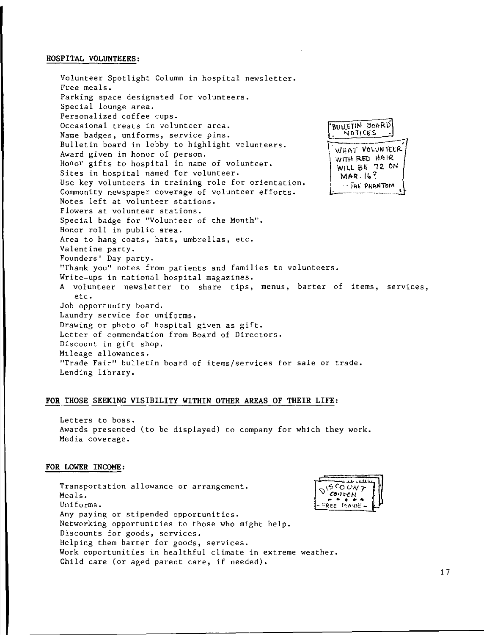# **HOSPITAL VOLUNTEERS:**

Volunteer Spotlight Column in hospital newsletter. Free meals. Parking space designated for volunteers. Special lounge area. Personalized coffee cups. Occasional treats in volunteer area. Name badges, uniforms, service pins. Bulletin board in lobby to highlight volunteers. Award given in honor of person. Honor gifts to hospital in name of volunteer. Sites in hospital named for volunteer. Use key volunteers in training role for orientation. Community newspaper coverage of volunteer efforts. Notes left at volunteer stations. Flowers at volunteer stations. Special badge for "Volunteer of the Month". Honor roll in public area. Area to hang coats, hats, umbrellas, etc. Valentine party. Founders' Day party. BULLETIN BOARD<br>, NOTICES , WHAT VOLUNTEER WITH RED HAIR WILL BE 72 ON  $MAR.16$ ?  $\cdots$  THE PHANTOM "Thank you" notes from patients and families to volunteers. Write-ups in national hospital magazines. A volunteer newsletter to share tips, menus, barter of items, services, etc. Job opportunity board. Laundry service for uniforms. Drawing or photo of hospital given as gift. Letter of commendation from Board of Directors. Discount in gift shop, Mileage allowances. "Trade Fair" bulletin board of items/services for sale or trade. Lending library.

# **FOR** THOSE SEEKING VISIBILITY WITHIN OTHER AREAS OF THEIR LIFE:

Letters to boss. Awards presented (to be displayed) to company for which they work. Media coverage.

### **FOR LOWER INCOME:**

Transportation allowance or arrangement. Meals. Uniforms. Any paying or stipended opportunities. Networking opportunities to those who might help. Discounts for goods, services. Helping them barter for goods, services. Work opportunities in healthful climate in extreme weather. Child care (or aged parent care, if needed). 5 CO UN<br>Coupon REE MOVIE-

...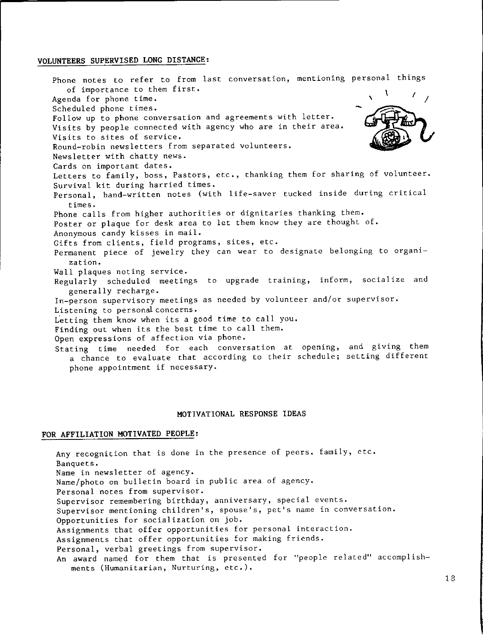### **VOLUNTEERS SUPERVISED LONG DISTANCE:**

Phone notes to refer to from last conversation, mentioning personal thing of importance to them first. Agenda for phone time. Scheduled phone times. Follow up to phone conversation and agreements with letter. Visits by people connected with agency who are in their area. Visits to sites of service. Round-robin newsletters from separated volunteers. Newsletter with chatty news. Cards on important dates. \ <u>I</u> *I I I* - Letters to family, boss, Pastors, etc., thanking them for sharing of volunteer. Survival kit during harried times. Personal, hand-written notes (with life-saver tucked inside during critical times. Phone calls from higher authorities or dignitaries thanking them. Poster or plaque for desk area to let them know they are thought of. Anonymous candy kisses in mail. Gifts from clients, field programs, sites, etc. Permanent piece of jewelry they can wear to designate belonging to organization. Wall plaques noting service. Regularly scheduled meetings to upgrade training, inform, socialize and generally recharge. In-person supervisory meetings as needed by volunteer and/or supervisor. Listening to personal concerns. Letting them know when its a good time to call you. Finding out when its the best time to call them. Open expressions of affection via phone. Stating time needed for each conversation at opening, and giving them a chance to evaluate that according to their schedule; setting different phone appointment if necessary.

#### **MOTIVATIONAL RESPONSE IDEAS**

# **FOR AFFILIATION MOTIVATED PEOPLE:**

Any recognition that is done in the presence of peers, family, etc. Banquets. Name in newsletter of agency. Name/photo on bulletin board in public area of agency. Personal notes from supervisor. Supervisor remembering birthday, anniversary, special events. Supervisor mentioning children's, spouse's, pet's name in conversation. Opportunities for socialization on job. Assignments that offer opportunities for personal interaction. Assignments that offer opportunities for making friends. Personal, verbal greetings from supervisor. An award named for them that is presented for "people related" accomplishments (Humanitarian, Nurturing, etc.).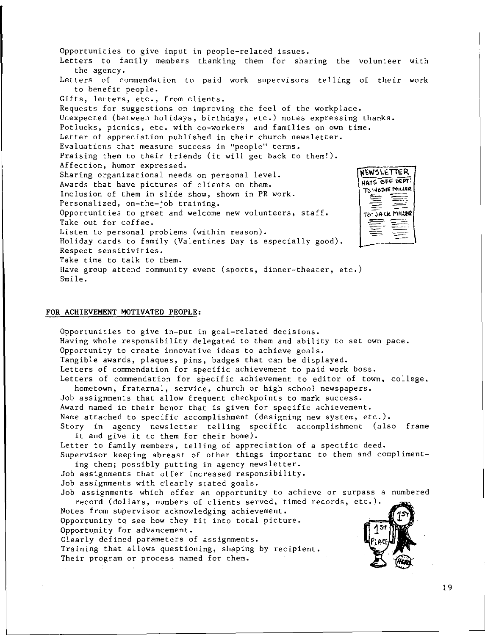Opportunities to give input in people**-**related issue Letters to family members thanking them for sharing the volunteer with the agency. **Letters of commendation to paid work supervisors telling of their work**  to benefit people. **Gifts, letters, etc., from clients.**  Requests for suggestions on improving the feel of the workplace. Unexpected (between holidays, birthdays, etc.) notes expressing thanks. **Potlucks, picnics, etc. with co-workers and families on own time.**  Letter of appreciation published in their church newsletter. **Evaluations that measure success in "people" terms.**  Praising them to their friends (it will get back to them!). **Affection, humor expressed. )l~W5LtTTER. Sharing organizational needs on personal level. ~1\1\$ OfO 0€PT'. Awards that have pictures of clients on them. TD · . .."lo:.IE~~tl Inclusion of them in slide show, shown in PR work.**   $\, \equiv \, \equiv$ **Personalized, on-the-job training. Opportunities to greet and welcome new volunteers, staff.**  TO: JACK MILLER Take out for coffee. ▆ Listen to personal problems (within **reason).**  Holiday cards to family (Valentines Day is especially good). **Respect sensitivities.**  Take time to talk to them. **Have group attend community event (sports, dinner-theater, etc.)**  Smile.

### **FOR ACHIEVEMENT MOTIVATED PEOPLE:**

**Opportunities to give in-put in goal-related decisions.**  Having whole responsibility delegated to them and ability to set own pace. **Opportunity to create innovative ideas to achieve goals.**  Tangible awards, plaques, pins, badges that can be displayed. **Letters of commendation for specific achievement to paid work boss. Letters of commendation for specific achievement to editor of town, college, hometown, fraternal, service, church or high school newspapers.**  Job assignments that allow frequent checkpoints to mark success. **Award named in their honor that is given for specific achievement.**  Name attached to specific accomplishment (designing new system, etc.). Story in agency newsletter telling specific accomplishment (also frame it and give it to them for their home). Letter to family members, telling of appreciation of a specific deed. **Supervisor keeping abreast of other things important to them and compliment**ing them; possibly putting in agency newsletter. Job assignments that offer increased responsibility. Job assignments with clearly stated goals. **Job assignments which offer an opportunity to achieve or surpass a numbered record (dollars, numbers of clients served, timed records, etc.). Notes from supervisor acknowledging achievement.**  Opportunity to see how they fit into total picture. Opportunity for advancement. Clearly defined parameters of assignments. Training that allows questioning, shaping by recipient. Their program or process named for them.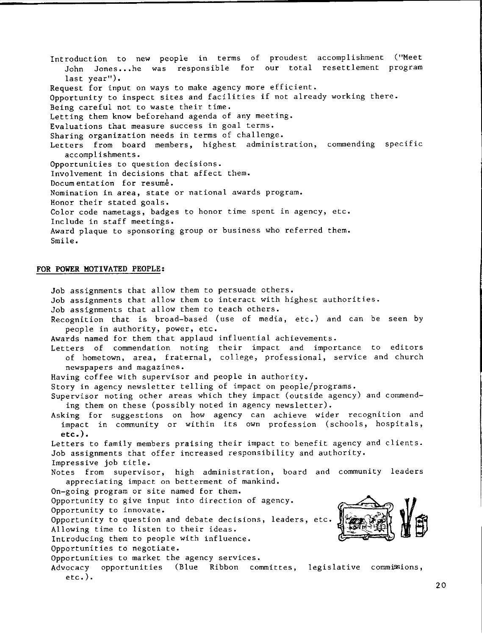Introduction to new people in terms of proudest accomplishment ("Meet John Jones...he was responsible for our total resettlement program last year"). Request for input on ways to make agency more efficient. Opportunity to inspect sites and facilities if not already working there. Being careful not to waste their time. Letting them know beforehand agenda of any meeting. Evaluations that measure success in goal terms. Sharing organization needs in terms of challenge. Letters from board members, highest administration, commending specific accomplishments. Opportunities to question decisions. Involvement in decisions that affect them. Docum entation for resume. Nomination in area, state or national awards program. Honor their stated goals. Color code nametags, badges to honor time spent in agency, etc. Include in staff meetings. Award plaque to sponsoring group or business who referred them. Smile.

# **FOR POWER MOTIVATED PEOPLE:**

Job assignments that allow them to persuade others. Job assignments that allow them to interact with highest authorities. Job assignments that allow them to teach others. Recognition that is broad-based (use of media, etc.) and can be seen by people in authority, power, etc. Awards named for them that applaud influential achievements. Letters of commendation noting their impact and importance to editors of hometown, area, fraternal, college, professional, service and church newspapers and magazines. Having coffee with supervisor and people in authority. Story in agency newsletter telling of impact on people/programs. Supervisor noting other areas which they impact (outside agency) and commending them on these (possibly noted in agency newsletter). Asking for suggestions on how agency can achieve wider recognition and impact in community or within its own profession (schools, hospitals, **etc.).**  Letters to family members praising their impact to benefit agency and clien Job assignments that offer increased responsibility and authority. Impressive job title. Notes from supervisor, high administration, board and community leader appreciating impact on betterment of mankind. On-going program or site named for them. Opportunity to give input into direction of agency. Opportunity to innovate. Opportunity to question and debate decisions, leaders, etc. Allowing time to listen to their ideas. Introducing them to people with influence. Opportunities to negotiate. Opportunities to market the agency services. Advocacy opportunities (Blue Ribbon committes, legislative commissions, etc.).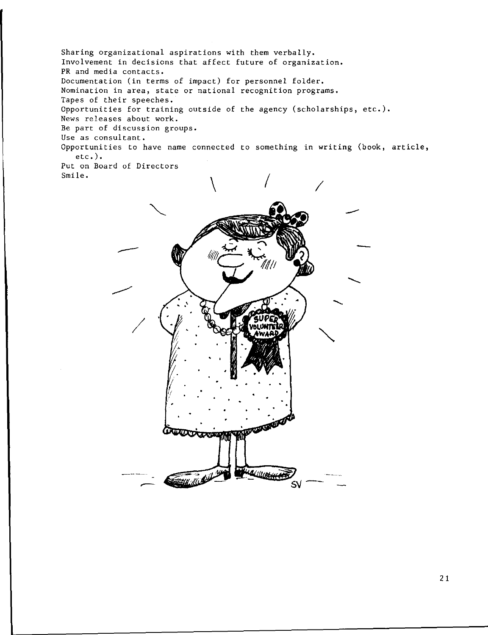Sharing organizational aspirations with them verbally. **Involvement in decisions that affect future of organization.**  PR and media contacts.<br>Documentation (in terms of impact) for personnel folder. Documentation (in terms of impact) for personnel folder. **Nomination in area, state or national recognition programs.**  Tapes of their speeches. Opportunities for training outside of the agency (scholarships, etc.). **News releases about work. Be part of discussion groups. Use as consultant. Opportunities to have name connected to something in writing (book, article,** etc.). **Put on Board of Directors**  Smile.

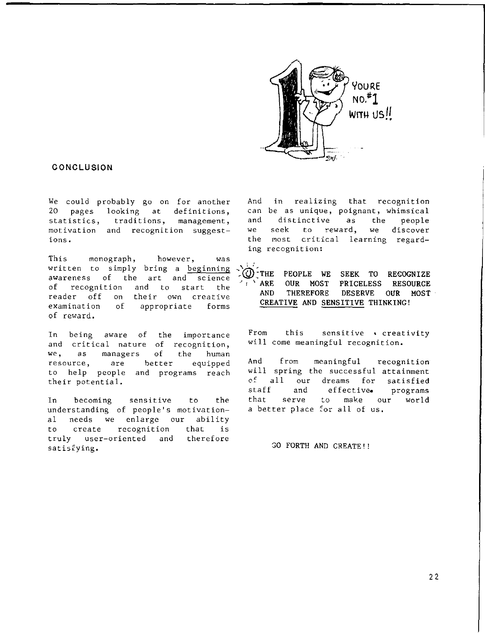

# **CONCLUSION**

We could probably go on for another 20 pages looking at definitions, statistics, traditions, management, motivation and recognition suggestions.

This monograph, however, was written to simply bring a beginning awareness of the art and science of recognition and to start the reader off on their own creative examination of appropriate forms of reward.

In being aware of the importar and critical nature of recognit we, as managers of the human resource, are better equipped to help people and programs reac their potential.

In becoming sensitive to the understanding of people's motivational needs we enlarge our ability to create recognition that is truly user-oriented and therefore satisfying.

And in realizing that recognit can be as unique, poignant, whimsic and we the most critical learning regar distinctive as the people seek to reward, we discover ing recognition:

 $\mathbf{v} = \mathbf{v}$ **"..@:THE PEOPLE WE SEEK TO RECOGNIZE**  ARE OUR MOST PRICELESS RESOURCE **AND THEREFORE DESERVE OUR MOST CREATIVE AND SENSITIVE THINKING!** 

From this sensitive ecreativity will come meaningful recognition.

And from meaningful recognition will spring the successful attainment of all our dreams for satisfied staff and effective• programs that serve to make our world a better place tor all of us.

GO FORTH AND CREATE'!